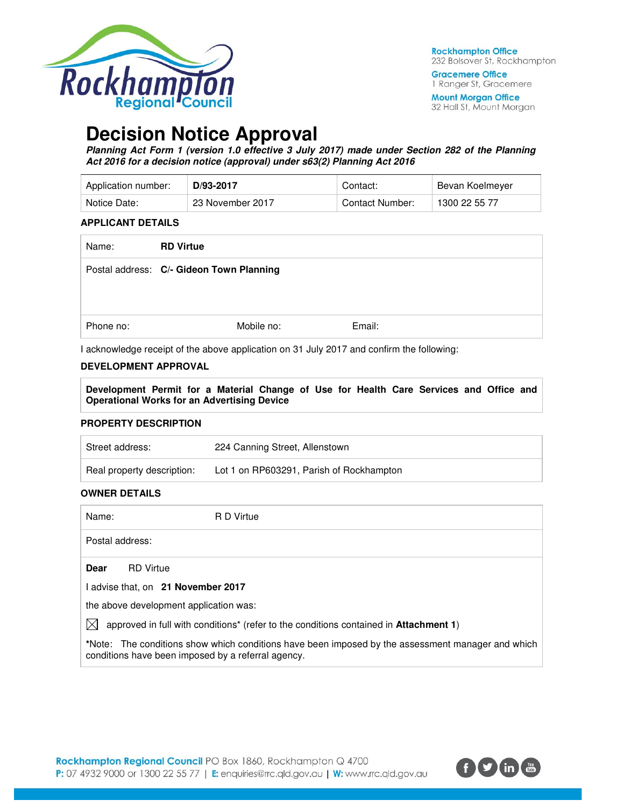

**Gracemere Office** 1 Ranger St, Gracemere

**Mount Morgan Office** 32 Hall St, Mount Morgan

# **Decision Notice Approval**

**Planning Act Form 1 (version 1.0 effective 3 July 2017) made under Section 282 of the Planning Act 2016 for a decision notice (approval) under s63(2) Planning Act 2016** 

| Application number: | D/93-2017        | Contact:        | Bevan Koelmeyer |
|---------------------|------------------|-----------------|-----------------|
| Notice Date:        | 23 November 2017 | Contact Number: | 1300 22 55 77   |

#### **APPLICANT DETAILS**

| Name:     | <b>RD Virtue</b>                         |        |
|-----------|------------------------------------------|--------|
|           | Postal address: C/- Gideon Town Planning |        |
| Phone no: | Mobile no:                               | Email: |

I acknowledge receipt of the above application on 31 July 2017 and confirm the following:

## **DEVELOPMENT APPROVAL**

**Development Permit for a Material Change of Use for Health Care Services and Office and Operational Works for an Advertising Device** 

#### **PROPERTY DESCRIPTION**

| Street address:            | 224 Canning Street, Allenstown           |
|----------------------------|------------------------------------------|
| Real property description: | Lot 1 on RP603291, Parish of Rockhampton |

#### **OWNER DETAILS**

Name: R D Virtue

Postal address:

**Dear** RD Virtue

I advise that, on **21 November 2017**

the above development application was:

 $\boxtimes$  approved in full with conditions<sup>\*</sup> (refer to the conditions contained in **Attachment 1**)

**\***Note:The conditions show which conditions have been imposed by the assessment manager and which conditions have been imposed by a referral agency.

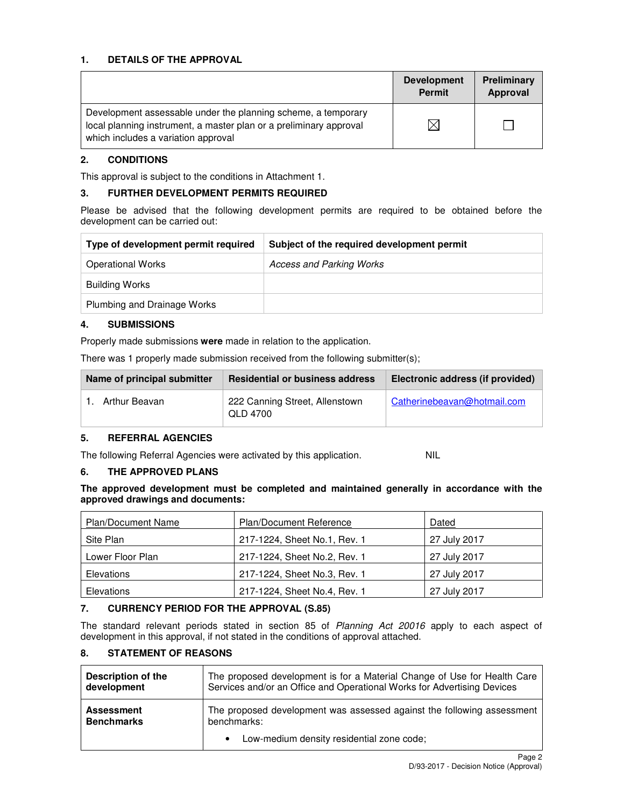## **1. DETAILS OF THE APPROVAL**

|                                                                                                                                                                            | <b>Development</b><br><b>Permit</b> | Preliminary<br>Approval |
|----------------------------------------------------------------------------------------------------------------------------------------------------------------------------|-------------------------------------|-------------------------|
| Development assessable under the planning scheme, a temporary<br>local planning instrument, a master plan or a preliminary approval<br>which includes a variation approval |                                     |                         |

## **2. CONDITIONS**

This approval is subject to the conditions in Attachment 1.

#### **3. FURTHER DEVELOPMENT PERMITS REQUIRED**

Please be advised that the following development permits are required to be obtained before the development can be carried out:

| Type of development permit required | Subject of the required development permit |
|-------------------------------------|--------------------------------------------|
| <b>Operational Works</b>            | Access and Parking Works                   |
| <b>Building Works</b>               |                                            |
| Plumbing and Drainage Works         |                                            |

#### **4. SUBMISSIONS**

Properly made submissions **were** made in relation to the application.

There was 1 properly made submission received from the following submitter(s);

| Name of principal submitter | <b>Residential or business address</b>     | Electronic address (if provided) |
|-----------------------------|--------------------------------------------|----------------------------------|
| Arthur Beavan               | 222 Canning Street, Allenstown<br>QLD 4700 | Catherinebeavan@hotmail.com      |

#### **5. REFERRAL AGENCIES**

The following Referral Agencies were activated by this application. NIL

**6. THE APPROVED PLANS** 

**The approved development must be completed and maintained generally in accordance with the approved drawings and documents:** 

| <b>Plan/Document Name</b> | <b>Plan/Document Reference</b> | Dated        |
|---------------------------|--------------------------------|--------------|
| Site Plan                 | 217-1224, Sheet No.1, Rev. 1   | 27 July 2017 |
| Lower Floor Plan          | 217-1224, Sheet No.2, Rev. 1   | 27 July 2017 |
| Elevations                | 217-1224, Sheet No.3, Rev. 1   | 27 July 2017 |
| Elevations                | 217-1224, Sheet No.4, Rev. 1   | 27 July 2017 |

#### **7. CURRENCY PERIOD FOR THE APPROVAL (S.85)**

The standard relevant periods stated in section 85 of Planning Act 20016 apply to each aspect of development in this approval, if not stated in the conditions of approval attached.

## **8. STATEMENT OF REASONS**

| <b>Description of the</b> | The proposed development is for a Material Change of Use for Health Care |
|---------------------------|--------------------------------------------------------------------------|
| development               | Services and/or an Office and Operational Works for Advertising Devices  |
| <b>Assessment</b>         | The proposed development was assessed against the following assessment   |
| <b>Benchmarks</b>         | benchmarks:                                                              |
|                           | Low-medium density residential zone code;                                |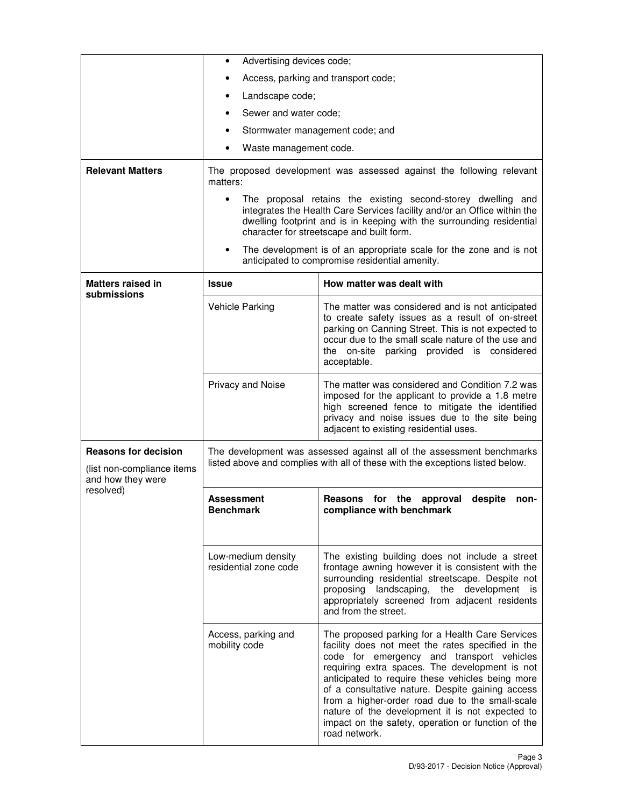|                                                                                | Advertising devices code;<br>٠                                                                                                                                                                                                                                         |                                                                                                                                                                                                                                                                                                                                                                                                                                                                                          |  |
|--------------------------------------------------------------------------------|------------------------------------------------------------------------------------------------------------------------------------------------------------------------------------------------------------------------------------------------------------------------|------------------------------------------------------------------------------------------------------------------------------------------------------------------------------------------------------------------------------------------------------------------------------------------------------------------------------------------------------------------------------------------------------------------------------------------------------------------------------------------|--|
|                                                                                | Access, parking and transport code;                                                                                                                                                                                                                                    |                                                                                                                                                                                                                                                                                                                                                                                                                                                                                          |  |
|                                                                                | Landscape code;                                                                                                                                                                                                                                                        |                                                                                                                                                                                                                                                                                                                                                                                                                                                                                          |  |
|                                                                                | Sewer and water code;                                                                                                                                                                                                                                                  |                                                                                                                                                                                                                                                                                                                                                                                                                                                                                          |  |
|                                                                                | Stormwater management code; and<br>٠                                                                                                                                                                                                                                   |                                                                                                                                                                                                                                                                                                                                                                                                                                                                                          |  |
|                                                                                | Waste management code.                                                                                                                                                                                                                                                 |                                                                                                                                                                                                                                                                                                                                                                                                                                                                                          |  |
| <b>Relevant Matters</b>                                                        | matters:                                                                                                                                                                                                                                                               | The proposed development was assessed against the following relevant                                                                                                                                                                                                                                                                                                                                                                                                                     |  |
|                                                                                |                                                                                                                                                                                                                                                                        | The proposal retains the existing second-storey dwelling and<br>integrates the Health Care Services facility and/or an Office within the<br>dwelling footprint and is in keeping with the surrounding residential<br>character for streetscape and built form.                                                                                                                                                                                                                           |  |
|                                                                                |                                                                                                                                                                                                                                                                        | The development is of an appropriate scale for the zone and is not<br>anticipated to compromise residential amenity.                                                                                                                                                                                                                                                                                                                                                                     |  |
| <b>Matters raised in</b><br>submissions                                        | Issue                                                                                                                                                                                                                                                                  | How matter was dealt with                                                                                                                                                                                                                                                                                                                                                                                                                                                                |  |
|                                                                                | <b>Vehicle Parking</b>                                                                                                                                                                                                                                                 | The matter was considered and is not anticipated<br>to create safety issues as a result of on-street<br>parking on Canning Street. This is not expected to<br>occur due to the small scale nature of the use and<br>the on-site parking provided is considered<br>acceptable.                                                                                                                                                                                                            |  |
|                                                                                | The matter was considered and Condition 7.2 was<br>Privacy and Noise<br>imposed for the applicant to provide a 1.8 metre<br>high screened fence to mitigate the identified<br>privacy and noise issues due to the site being<br>adjacent to existing residential uses. |                                                                                                                                                                                                                                                                                                                                                                                                                                                                                          |  |
| <b>Reasons for decision</b><br>(list non-compliance items<br>and how they were | The development was assessed against all of the assessment benchmarks<br>listed above and complies with all of these with the exceptions listed below.                                                                                                                 |                                                                                                                                                                                                                                                                                                                                                                                                                                                                                          |  |
| resolved)                                                                      | Assessment<br><b>Benchmark</b>                                                                                                                                                                                                                                         | Reasons for the approval<br>despite<br>non-<br>compliance with benchmark                                                                                                                                                                                                                                                                                                                                                                                                                 |  |
|                                                                                | Low-medium density<br>residential zone code                                                                                                                                                                                                                            | The existing building does not include a street<br>frontage awning however it is consistent with the<br>surrounding residential streetscape. Despite not<br>proposing landscaping, the development is<br>appropriately screened from adjacent residents<br>and from the street.                                                                                                                                                                                                          |  |
|                                                                                | Access, parking and<br>mobility code                                                                                                                                                                                                                                   | The proposed parking for a Health Care Services<br>facility does not meet the rates specified in the<br>code for emergency and transport vehicles<br>requiring extra spaces. The development is not<br>anticipated to require these vehicles being more<br>of a consultative nature. Despite gaining access<br>from a higher-order road due to the small-scale<br>nature of the development it is not expected to<br>impact on the safety, operation or function of the<br>road network. |  |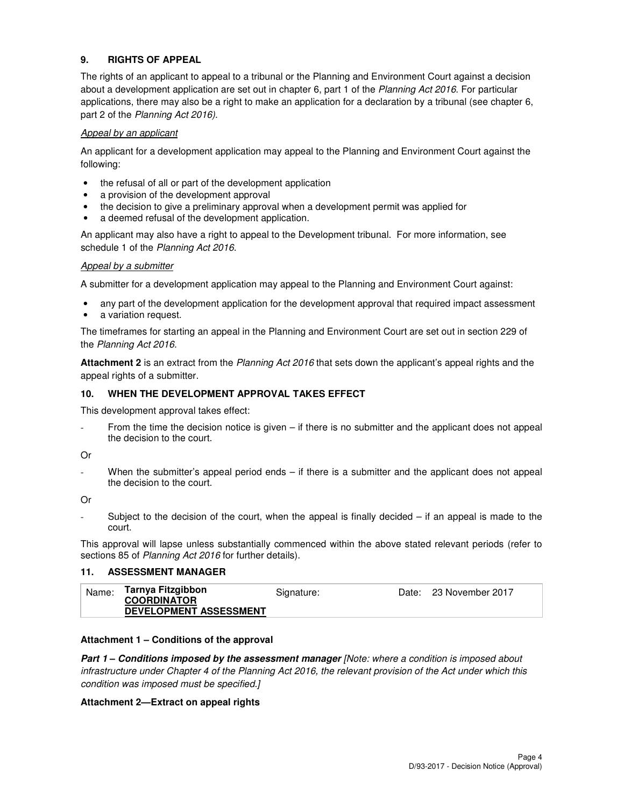## **9. RIGHTS OF APPEAL**

The rights of an applicant to appeal to a tribunal or the Planning and Environment Court against a decision about a development application are set out in chapter 6, part 1 of the Planning Act 2016. For particular applications, there may also be a right to make an application for a declaration by a tribunal (see chapter 6, part 2 of the Planning Act 2016).

#### Appeal by an applicant

An applicant for a development application may appeal to the Planning and Environment Court against the following:

- the refusal of all or part of the development application
- a provision of the development approval
- the decision to give a preliminary approval when a development permit was applied for
- a deemed refusal of the development application.

An applicant may also have a right to appeal to the Development tribunal. For more information, see schedule 1 of the Planning Act 2016.

#### Appeal by a submitter

A submitter for a development application may appeal to the Planning and Environment Court against:

- any part of the development application for the development approval that required impact assessment
- a variation request.

The timeframes for starting an appeal in the Planning and Environment Court are set out in section 229 of the Planning Act 2016.

**Attachment 2** is an extract from the Planning Act 2016 that sets down the applicant's appeal rights and the appeal rights of a submitter.

#### **10. WHEN THE DEVELOPMENT APPROVAL TAKES EFFECT**

This development approval takes effect:

From the time the decision notice is given – if there is no submitter and the applicant does not appeal the decision to the court.

#### Or

When the submitter's appeal period ends – if there is a submitter and the applicant does not appeal the decision to the court.

Or

Subject to the decision of the court, when the appeal is finally decided  $-$  if an appeal is made to the court.

This approval will lapse unless substantially commenced within the above stated relevant periods (refer to sections 85 of Planning Act 2016 for further details).

#### **11. ASSESSMENT MANAGER**

| Name: | Tarnya Fitzgibbon<br><b>COORDINATOR</b><br><b>DEVELOPMENT ASSESSMENT</b> | Signature: |  | Date: 23 November 2017 |
|-------|--------------------------------------------------------------------------|------------|--|------------------------|
|-------|--------------------------------------------------------------------------|------------|--|------------------------|

#### **Attachment 1 – Conditions of the approval**

**Part 1 – Conditions imposed by the assessment manager** [Note: where a condition is imposed about infrastructure under Chapter 4 of the Planning Act 2016, the relevant provision of the Act under which this condition was imposed must be specified.]

#### **Attachment 2—Extract on appeal rights**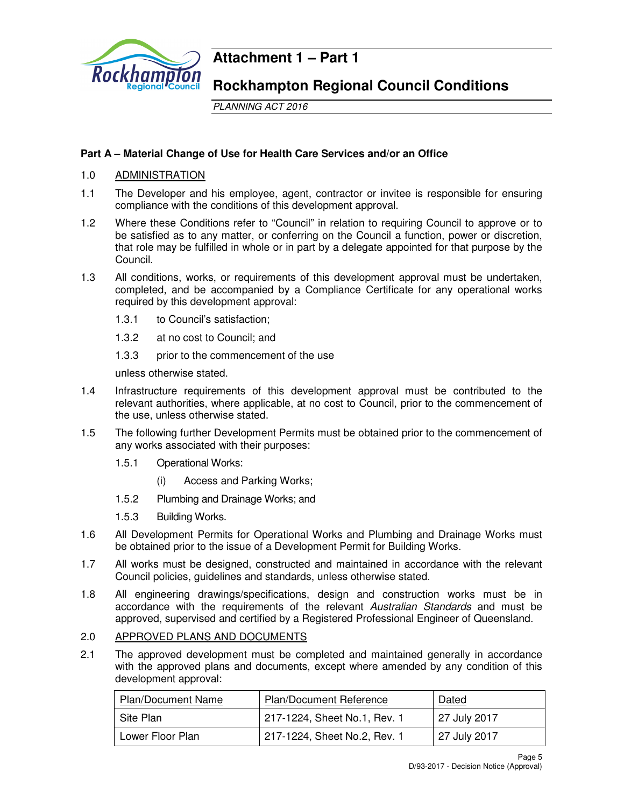

## **Attachment 1 – Part 1**

## **Rockhampton Regional Council Conditions**

PLANNING ACT 2016

## **Part A – Material Change of Use for Health Care Services and/or an Office**

## 1.0 ADMINISTRATION

- 1.1 The Developer and his employee, agent, contractor or invitee is responsible for ensuring compliance with the conditions of this development approval.
- 1.2 Where these Conditions refer to "Council" in relation to requiring Council to approve or to be satisfied as to any matter, or conferring on the Council a function, power or discretion, that role may be fulfilled in whole or in part by a delegate appointed for that purpose by the Council.
- 1.3 All conditions, works, or requirements of this development approval must be undertaken, completed, and be accompanied by a Compliance Certificate for any operational works required by this development approval:
	- 1.3.1 to Council's satisfaction;
	- 1.3.2 at no cost to Council; and
	- 1.3.3 prior to the commencement of the use

unless otherwise stated.

- 1.4 Infrastructure requirements of this development approval must be contributed to the relevant authorities, where applicable, at no cost to Council, prior to the commencement of the use, unless otherwise stated.
- 1.5 The following further Development Permits must be obtained prior to the commencement of any works associated with their purposes:
	- 1.5.1 Operational Works:
		- (i) Access and Parking Works;
	- 1.5.2 Plumbing and Drainage Works; and
	- 1.5.3 Building Works.
- 1.6 All Development Permits for Operational Works and Plumbing and Drainage Works must be obtained prior to the issue of a Development Permit for Building Works.
- 1.7 All works must be designed, constructed and maintained in accordance with the relevant Council policies, guidelines and standards, unless otherwise stated.
- 1.8 All engineering drawings/specifications, design and construction works must be in accordance with the requirements of the relevant Australian Standards and must be approved, supervised and certified by a Registered Professional Engineer of Queensland.

## 2.0 APPROVED PLANS AND DOCUMENTS

2.1 The approved development must be completed and maintained generally in accordance with the approved plans and documents, except where amended by any condition of this development approval:

| <b>Plan/Document Name</b> | <b>Plan/Document Reference</b> | Dated        |
|---------------------------|--------------------------------|--------------|
| Site Plan                 | 217-1224, Sheet No.1, Rev. 1   | 27 July 2017 |
| Lower Floor Plan          | 217-1224, Sheet No.2, Rev. 1   | 27 July 2017 |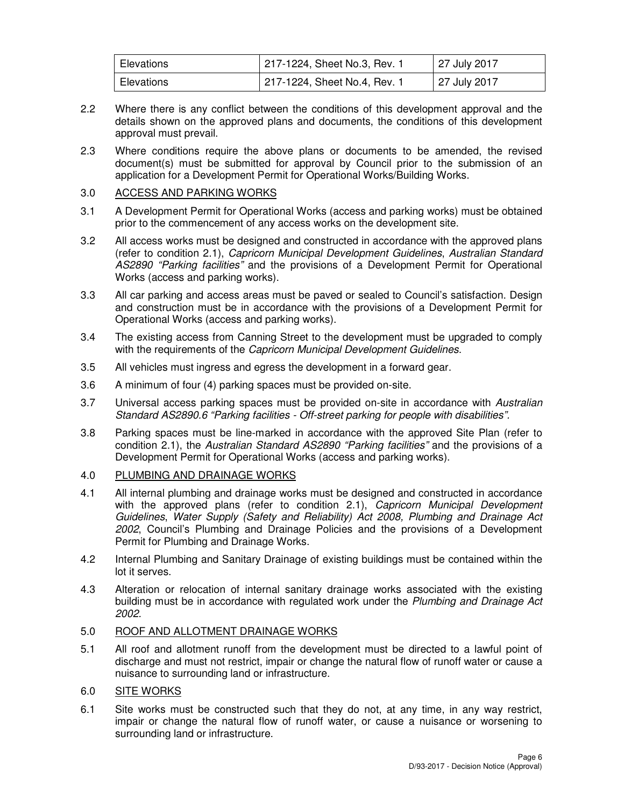| Elevations | 217-1224, Sheet No.3, Rev. 1 | 27 July 2017 |
|------------|------------------------------|--------------|
| Elevations | 217-1224, Sheet No.4, Rev. 1 | 27 July 2017 |

- 2.2 Where there is any conflict between the conditions of this development approval and the details shown on the approved plans and documents, the conditions of this development approval must prevail.
- 2.3 Where conditions require the above plans or documents to be amended, the revised document(s) must be submitted for approval by Council prior to the submission of an application for a Development Permit for Operational Works/Building Works.

## 3.0 ACCESS AND PARKING WORKS

- 3.1 A Development Permit for Operational Works (access and parking works) must be obtained prior to the commencement of any access works on the development site.
- 3.2 All access works must be designed and constructed in accordance with the approved plans (refer to condition 2.1), Capricorn Municipal Development Guidelines, Australian Standard AS2890 "Parking facilities" and the provisions of a Development Permit for Operational Works (access and parking works).
- 3.3 All car parking and access areas must be paved or sealed to Council's satisfaction. Design and construction must be in accordance with the provisions of a Development Permit for Operational Works (access and parking works).
- 3.4 The existing access from Canning Street to the development must be upgraded to comply with the requirements of the *Capricorn Municipal Development Guidelines*.
- 3.5 All vehicles must ingress and egress the development in a forward gear.
- 3.6 A minimum of four (4) parking spaces must be provided on-site.
- 3.7 Universal access parking spaces must be provided on-site in accordance with Australian Standard AS2890.6 "Parking facilities - Off-street parking for people with disabilities".
- 3.8 Parking spaces must be line-marked in accordance with the approved Site Plan (refer to condition 2.1), the Australian Standard AS2890 "Parking facilities" and the provisions of a Development Permit for Operational Works (access and parking works).

## 4.0 PLUMBING AND DRAINAGE WORKS

- 4.1 All internal plumbing and drainage works must be designed and constructed in accordance with the approved plans (refer to condition 2.1), Capricorn Municipal Development Guidelines, Water Supply (Safety and Reliability) Act 2008, Plumbing and Drainage Act 2002, Council's Plumbing and Drainage Policies and the provisions of a Development Permit for Plumbing and Drainage Works.
- 4.2 Internal Plumbing and Sanitary Drainage of existing buildings must be contained within the lot it serves.
- 4.3 Alteration or relocation of internal sanitary drainage works associated with the existing building must be in accordance with regulated work under the Plumbing and Drainage Act 2002.

#### 5.0 ROOF AND ALLOTMENT DRAINAGE WORKS

5.1 All roof and allotment runoff from the development must be directed to a lawful point of discharge and must not restrict, impair or change the natural flow of runoff water or cause a nuisance to surrounding land or infrastructure.

### 6.0 SITE WORKS

6.1 Site works must be constructed such that they do not, at any time, in any way restrict, impair or change the natural flow of runoff water, or cause a nuisance or worsening to surrounding land or infrastructure.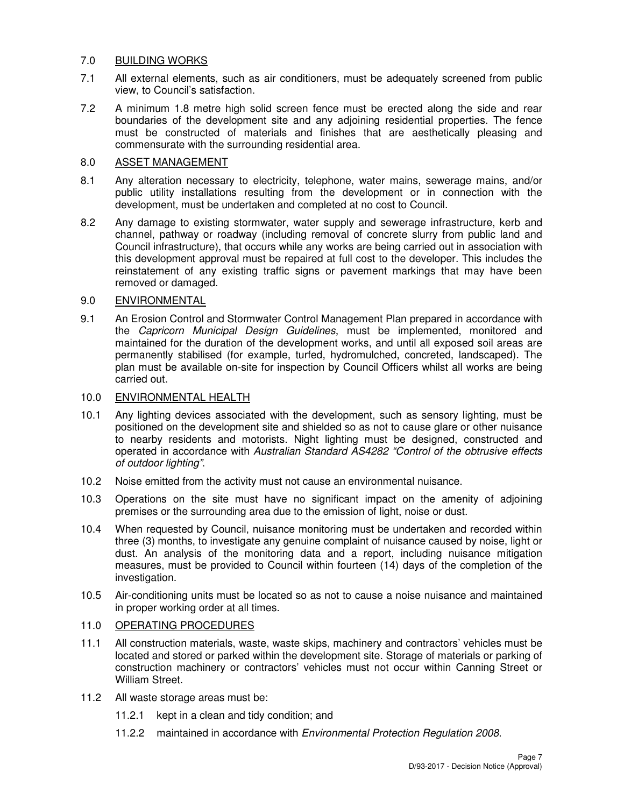## 7.0 BUILDING WORKS

- 7.1 All external elements, such as air conditioners, must be adequately screened from public view, to Council's satisfaction.
- 7.2 A minimum 1.8 metre high solid screen fence must be erected along the side and rear boundaries of the development site and any adjoining residential properties. The fence must be constructed of materials and finishes that are aesthetically pleasing and commensurate with the surrounding residential area.

## 8.0 ASSET MANAGEMENT

- 8.1 Any alteration necessary to electricity, telephone, water mains, sewerage mains, and/or public utility installations resulting from the development or in connection with the development, must be undertaken and completed at no cost to Council.
- 8.2 Any damage to existing stormwater, water supply and sewerage infrastructure, kerb and channel, pathway or roadway (including removal of concrete slurry from public land and Council infrastructure), that occurs while any works are being carried out in association with this development approval must be repaired at full cost to the developer. This includes the reinstatement of any existing traffic signs or pavement markings that may have been removed or damaged.

## 9.0 ENVIRONMENTAL

9.1 An Erosion Control and Stormwater Control Management Plan prepared in accordance with the Capricorn Municipal Design Guidelines, must be implemented, monitored and maintained for the duration of the development works, and until all exposed soil areas are permanently stabilised (for example, turfed, hydromulched, concreted, landscaped). The plan must be available on-site for inspection by Council Officers whilst all works are being carried out.

## 10.0 ENVIRONMENTAL HEALTH

- 10.1 Any lighting devices associated with the development, such as sensory lighting, must be positioned on the development site and shielded so as not to cause glare or other nuisance to nearby residents and motorists. Night lighting must be designed, constructed and operated in accordance with Australian Standard AS4282 "Control of the obtrusive effects of outdoor lighting".
- 10.2 Noise emitted from the activity must not cause an environmental nuisance.
- 10.3 Operations on the site must have no significant impact on the amenity of adjoining premises or the surrounding area due to the emission of light, noise or dust.
- 10.4 When requested by Council, nuisance monitoring must be undertaken and recorded within three (3) months, to investigate any genuine complaint of nuisance caused by noise, light or dust. An analysis of the monitoring data and a report, including nuisance mitigation measures, must be provided to Council within fourteen (14) days of the completion of the investigation.
- 10.5 Air-conditioning units must be located so as not to cause a noise nuisance and maintained in proper working order at all times.

## 11.0 OPERATING PROCEDURES

- 11.1 All construction materials, waste, waste skips, machinery and contractors' vehicles must be located and stored or parked within the development site. Storage of materials or parking of construction machinery or contractors' vehicles must not occur within Canning Street or William Street.
- 11.2 All waste storage areas must be:
	- 11.2.1 kept in a clean and tidy condition; and
	- 11.2.2 maintained in accordance with Environmental Protection Regulation 2008.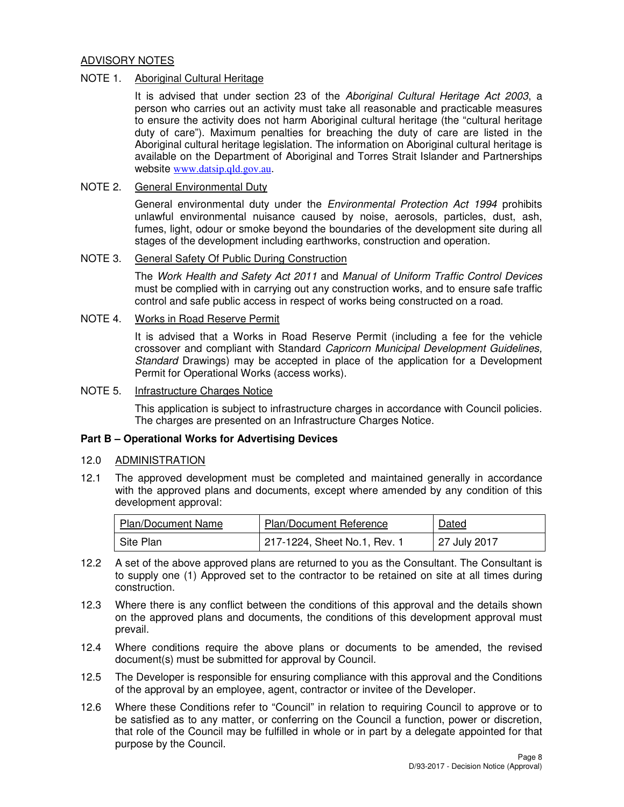## ADVISORY NOTES

## NOTE 1. Aboriginal Cultural Heritage

It is advised that under section 23 of the Aboriginal Cultural Heritage Act 2003, a person who carries out an activity must take all reasonable and practicable measures to ensure the activity does not harm Aboriginal cultural heritage (the "cultural heritage duty of care"). Maximum penalties for breaching the duty of care are listed in the Aboriginal cultural heritage legislation. The information on Aboriginal cultural heritage is available on the Department of Aboriginal and Torres Strait Islander and Partnerships website www.datsip.qld.gov.au.

## NOTE 2. General Environmental Duty

General environmental duty under the *Environmental Protection Act 1994* prohibits unlawful environmental nuisance caused by noise, aerosols, particles, dust, ash, fumes, light, odour or smoke beyond the boundaries of the development site during all stages of the development including earthworks, construction and operation.

## NOTE 3. General Safety Of Public During Construction

The Work Health and Safety Act 2011 and Manual of Uniform Traffic Control Devices must be complied with in carrying out any construction works, and to ensure safe traffic control and safe public access in respect of works being constructed on a road.

## NOTE 4. Works in Road Reserve Permit

It is advised that a Works in Road Reserve Permit (including a fee for the vehicle crossover and compliant with Standard Capricorn Municipal Development Guidelines, Standard Drawings) may be accepted in place of the application for a Development Permit for Operational Works (access works).

#### NOTE 5. Infrastructure Charges Notice

This application is subject to infrastructure charges in accordance with Council policies. The charges are presented on an Infrastructure Charges Notice.

#### **Part B – Operational Works for Advertising Devices**

#### 12.0 ADMINISTRATION

12.1 The approved development must be completed and maintained generally in accordance with the approved plans and documents, except where amended by any condition of this development approval:

| <b>Plan/Document Name</b> | <b>Plan/Document Reference</b> | Dated        |
|---------------------------|--------------------------------|--------------|
| Site Plan                 | 217-1224, Sheet No.1, Rev. 1   | 27 July 2017 |

- 12.2 A set of the above approved plans are returned to you as the Consultant. The Consultant is to supply one (1) Approved set to the contractor to be retained on site at all times during construction.
- 12.3 Where there is any conflict between the conditions of this approval and the details shown on the approved plans and documents, the conditions of this development approval must prevail.
- 12.4 Where conditions require the above plans or documents to be amended, the revised document(s) must be submitted for approval by Council.
- 12.5 The Developer is responsible for ensuring compliance with this approval and the Conditions of the approval by an employee, agent, contractor or invitee of the Developer.
- 12.6 Where these Conditions refer to "Council" in relation to requiring Council to approve or to be satisfied as to any matter, or conferring on the Council a function, power or discretion, that role of the Council may be fulfilled in whole or in part by a delegate appointed for that purpose by the Council.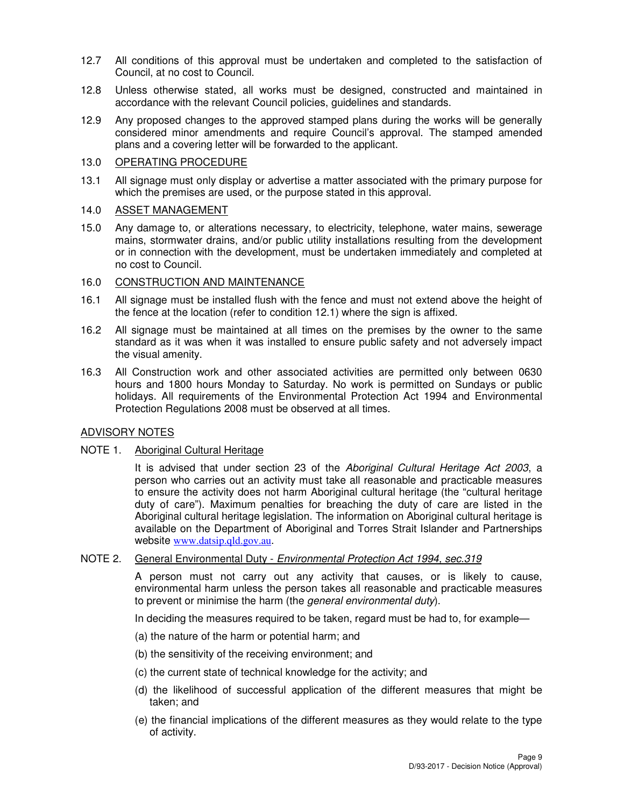- 12.7 All conditions of this approval must be undertaken and completed to the satisfaction of Council, at no cost to Council.
- 12.8 Unless otherwise stated, all works must be designed, constructed and maintained in accordance with the relevant Council policies, guidelines and standards.
- 12.9 Any proposed changes to the approved stamped plans during the works will be generally considered minor amendments and require Council's approval. The stamped amended plans and a covering letter will be forwarded to the applicant.

## 13.0 OPERATING PROCEDURE

13.1 All signage must only display or advertise a matter associated with the primary purpose for which the premises are used, or the purpose stated in this approval.

## 14.0 ASSET MANAGEMENT

15.0 Any damage to, or alterations necessary, to electricity, telephone, water mains, sewerage mains, stormwater drains, and/or public utility installations resulting from the development or in connection with the development, must be undertaken immediately and completed at no cost to Council.

## 16.0 CONSTRUCTION AND MAINTENANCE

- 16.1 All signage must be installed flush with the fence and must not extend above the height of the fence at the location (refer to condition 12.1) where the sign is affixed.
- 16.2 All signage must be maintained at all times on the premises by the owner to the same standard as it was when it was installed to ensure public safety and not adversely impact the visual amenity.
- 16.3 All Construction work and other associated activities are permitted only between 0630 hours and 1800 hours Monday to Saturday. No work is permitted on Sundays or public holidays. All requirements of the Environmental Protection Act 1994 and Environmental Protection Regulations 2008 must be observed at all times.

## ADVISORY NOTES

#### NOTE 1. Aboriginal Cultural Heritage

It is advised that under section 23 of the Aboriginal Cultural Heritage Act 2003, a person who carries out an activity must take all reasonable and practicable measures to ensure the activity does not harm Aboriginal cultural heritage (the "cultural heritage duty of care"). Maximum penalties for breaching the duty of care are listed in the Aboriginal cultural heritage legislation. The information on Aboriginal cultural heritage is available on the Department of Aboriginal and Torres Strait Islander and Partnerships website www.datsip.qld.gov.au.

#### NOTE 2. General Environmental Duty - Environmental Protection Act 1994, sec.319

A person must not carry out any activity that causes, or is likely to cause, environmental harm unless the person takes all reasonable and practicable measures to prevent or minimise the harm (the *general environmental duty*).

In deciding the measures required to be taken, regard must be had to, for example—

- (a) the nature of the harm or potential harm; and
- (b) the sensitivity of the receiving environment; and
- (c) the current state of technical knowledge for the activity; and
- (d) the likelihood of successful application of the different measures that might be taken; and
- (e) the financial implications of the different measures as they would relate to the type of activity.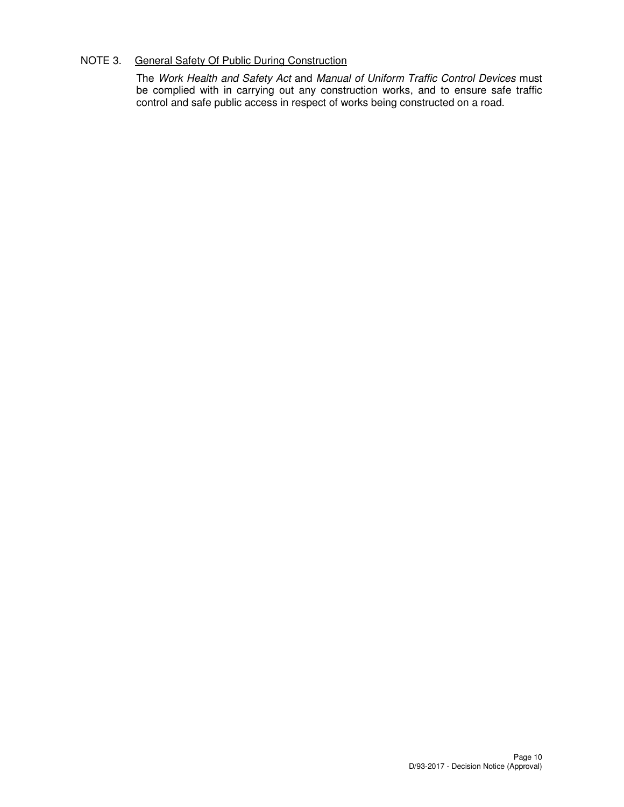## NOTE 3. General Safety Of Public During Construction

The Work Health and Safety Act and Manual of Uniform Traffic Control Devices must be complied with in carrying out any construction works, and to ensure safe traffic control and safe public access in respect of works being constructed on a road.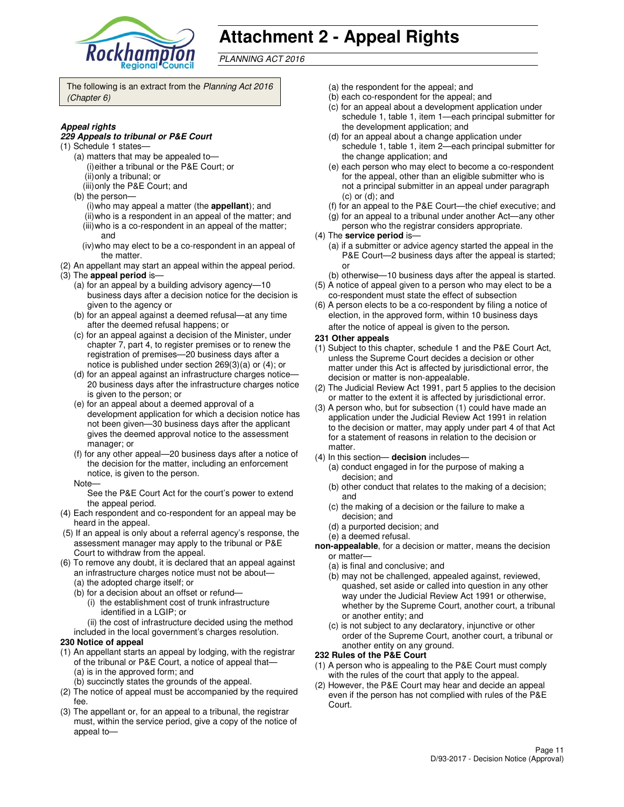

# **Attachment 2 - Appeal Rights**

PLANNING ACT 2016

The following is an extract from the Planning Act 2016 (Chapter 6)

#### **Appeal rights**

#### **229 Appeals to tribunal or P&E Court**

- (1) Schedule 1 states—
	- (a) matters that may be appealed to— (i) either a tribunal or the P&E Court; or (ii) only a tribunal; or
	- (iii) only the P&E Court; and
	- (b) the person—
		- (i) who may appeal a matter (the **appellant**); and (ii) who is a respondent in an appeal of the matter; and (iii) who is a co-respondent in an appeal of the matter;
		- and (iv) who may elect to be a co-respondent in an appeal of
- the matter. (2) An appellant may start an appeal within the appeal period.
- (3) The **appeal period** is—
	- (a) for an appeal by a building advisory agency—10 business days after a decision notice for the decision is given to the agency or
	- (b) for an appeal against a deemed refusal—at any time after the deemed refusal happens; or
	- (c) for an appeal against a decision of the Minister, under chapter 7, part 4, to register premises or to renew the registration of premises—20 business days after a notice is published under section 269(3)(a) or (4); or
	- (d) for an appeal against an infrastructure charges notice— 20 business days after the infrastructure charges notice is given to the person; or
	- (e) for an appeal about a deemed approval of a development application for which a decision notice has not been given—30 business days after the applicant gives the deemed approval notice to the assessment manager; or
	- (f) for any other appeal—20 business days after a notice of the decision for the matter, including an enforcement notice, is given to the person.
	- Note—

See the P&E Court Act for the court's power to extend the appeal period.

- (4) Each respondent and co-respondent for an appeal may be heard in the appeal.
- (5) If an appeal is only about a referral agency's response, the assessment manager may apply to the tribunal or P&E Court to withdraw from the appeal.
- (6) To remove any doubt, it is declared that an appeal against an infrastructure charges notice must not be about—
	- (a) the adopted charge itself; or
	- (b) for a decision about an offset or refund—
		- (i) the establishment cost of trunk infrastructure identified in a LGIP; or
		- (ii) the cost of infrastructure decided using the method
	- included in the local government's charges resolution.

#### **230 Notice of appeal**

- (1) An appellant starts an appeal by lodging, with the registrar of the tribunal or P&E Court, a notice of appeal that— (a) is in the approved form; and
	- (b) succinctly states the grounds of the appeal.
- (2) The notice of appeal must be accompanied by the required fee.
- (3) The appellant or, for an appeal to a tribunal, the registrar must, within the service period, give a copy of the notice of appeal to—
- (a) the respondent for the appeal; and
- (b) each co-respondent for the appeal; and
- (c) for an appeal about a development application under schedule 1, table 1, item 1—each principal submitter for the development application; and
- (d) for an appeal about a change application under schedule 1, table 1, item 2—each principal submitter for the change application; and
- (e) each person who may elect to become a co-respondent for the appeal, other than an eligible submitter who is not a principal submitter in an appeal under paragraph (c) or (d); and
- (f) for an appeal to the P&E Court—the chief executive; and
- (g) for an appeal to a tribunal under another Act—any other
- person who the registrar considers appropriate.
- (4) The **service period** is—
	- (a) if a submitter or advice agency started the appeal in the P&E Court—2 business days after the appeal is started; or
- (b) otherwise—10 business days after the appeal is started. (5) A notice of appeal given to a person who may elect to be a
- co-respondent must state the effect of subsection (6) A person elects to be a co-respondent by filing a notice of
- election, in the approved form, within 10 business days after the notice of appeal is given to the person*.*
- **231 Other appeals**
- (1) Subject to this chapter, schedule 1 and the P&E Court Act, unless the Supreme Court decides a decision or other matter under this Act is affected by jurisdictional error, the decision or matter is non-appealable.
- (2) The Judicial Review Act 1991, part 5 applies to the decision or matter to the extent it is affected by jurisdictional error.
- (3) A person who, but for subsection (1) could have made an application under the Judicial Review Act 1991 in relation to the decision or matter, may apply under part 4 of that Act for a statement of reasons in relation to the decision or matter.
- (4) In this section— **decision** includes—
	- (a) conduct engaged in for the purpose of making a decision; and
	- (b) other conduct that relates to the making of a decision; and
	- (c) the making of a decision or the failure to make a decision; and
	- (d) a purported decision; and
	- (e) a deemed refusal.
- **non-appealable**, for a decision or matter, means the decision or matter—
	- (a) is final and conclusive; and
	- (b) may not be challenged, appealed against, reviewed, quashed, set aside or called into question in any other way under the Judicial Review Act 1991 or otherwise, whether by the Supreme Court, another court, a tribunal or another entity; and
	- (c) is not subject to any declaratory, injunctive or other order of the Supreme Court, another court, a tribunal or another entity on any ground.

#### **232 Rules of the P&E Court**

- (1) A person who is appealing to the P&E Court must comply with the rules of the court that apply to the appeal.
- (2) However, the P&E Court may hear and decide an appeal even if the person has not complied with rules of the P&E Court.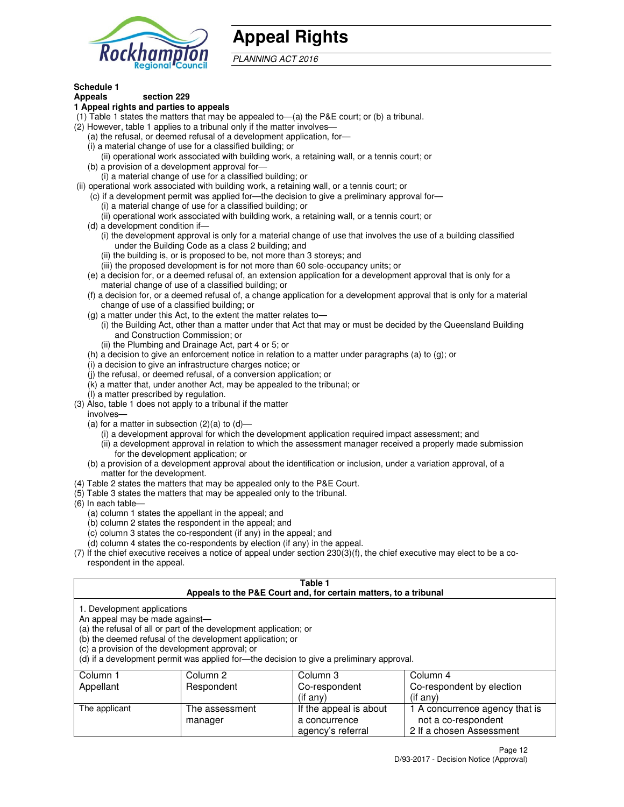

# **Appeal Rights**

PLANNING ACT 2016

#### **Schedule 1 Appeals section 229**

## **1 Appeal rights and parties to appeals**

- (1) Table 1 states the matters that may be appealed to—(a) the P&E court; or (b) a tribunal.
- (2) However, table 1 applies to a tribunal only if the matter involves—
	- (a) the refusal, or deemed refusal of a development application, for—
	- (i) a material change of use for a classified building; or
	- (ii) operational work associated with building work, a retaining wall, or a tennis court; or (b) a provision of a development approval for—
	- (i) a material change of use for a classified building; or
- (ii) operational work associated with building work, a retaining wall, or a tennis court; or
	- (c) if a development permit was applied for—the decision to give a preliminary approval for—
		- (i) a material change of use for a classified building; or
		- (ii) operational work associated with building work, a retaining wall, or a tennis court; or
	- (d) a development condition if—
		- (i) the development approval is only for a material change of use that involves the use of a building classified under the Building Code as a class 2 building; and
		- (ii) the building is, or is proposed to be, not more than 3 storeys; and
		- (iii) the proposed development is for not more than 60 sole-occupancy units; or
	- (e) a decision for, or a deemed refusal of, an extension application for a development approval that is only for a material change of use of a classified building; or
	- (f) a decision for, or a deemed refusal of, a change application for a development approval that is only for a material change of use of a classified building; or
	- (g) a matter under this Act, to the extent the matter relates to—
		- (i) the Building Act, other than a matter under that Act that may or must be decided by the Queensland Building and Construction Commission; or
		- (ii) the Plumbing and Drainage Act, part 4 or 5; or
	- (h) a decision to give an enforcement notice in relation to a matter under paragraphs (a) to (g); or
	- (i) a decision to give an infrastructure charges notice; or
	- (j) the refusal, or deemed refusal, of a conversion application; or
	- (k) a matter that, under another Act, may be appealed to the tribunal; or
	- (l) a matter prescribed by regulation.
- (3) Also, table 1 does not apply to a tribunal if the matter
- involves—
	- (a) for a matter in subsection  $(2)(a)$  to  $(d)$ 
		- (i) a development approval for which the development application required impact assessment; and
		- (ii) a development approval in relation to which the assessment manager received a properly made submission for the development application; or
	- (b) a provision of a development approval about the identification or inclusion, under a variation approval, of a matter for the development.
- (4) Table 2 states the matters that may be appealed only to the P&E Court.
- (5) Table 3 states the matters that may be appealed only to the tribunal.
- (6) In each table—
	- (a) column 1 states the appellant in the appeal; and
	- (b) column 2 states the respondent in the appeal; and
	- (c) column 3 states the co-respondent (if any) in the appeal; and
	- (d) column 4 states the co-respondents by election (if any) in the appeal.
- (7) If the chief executive receives a notice of appeal under section 230(3)(f), the chief executive may elect to be a corespondent in the appeal.

## **Table 1**

| Appeals to the P&E Court and, for certain matters, to a tribunal |                                                                                                                                                                                   |                                                                                          |                                |
|------------------------------------------------------------------|-----------------------------------------------------------------------------------------------------------------------------------------------------------------------------------|------------------------------------------------------------------------------------------|--------------------------------|
| 1. Development applications<br>An appeal may be made against—    | (a) the refusal of all or part of the development application; or<br>(b) the deemed refusal of the development application; or<br>(c) a provision of the development approval; or | (d) if a development permit was applied for—the decision to give a preliminary approval. |                                |
| Column 1                                                         | Column 2                                                                                                                                                                          | Column 3                                                                                 | Column 4                       |
| Appellant                                                        | Respondent                                                                                                                                                                        | Co-respondent                                                                            | Co-respondent by election      |
|                                                                  |                                                                                                                                                                                   | (if any)                                                                                 | (if any)                       |
| The applicant                                                    | The assessment                                                                                                                                                                    | If the appeal is about                                                                   | 1 A concurrence agency that is |
|                                                                  | manager                                                                                                                                                                           | a concurrence                                                                            | not a co-respondent            |

agency's referral

2 If a chosen Assessment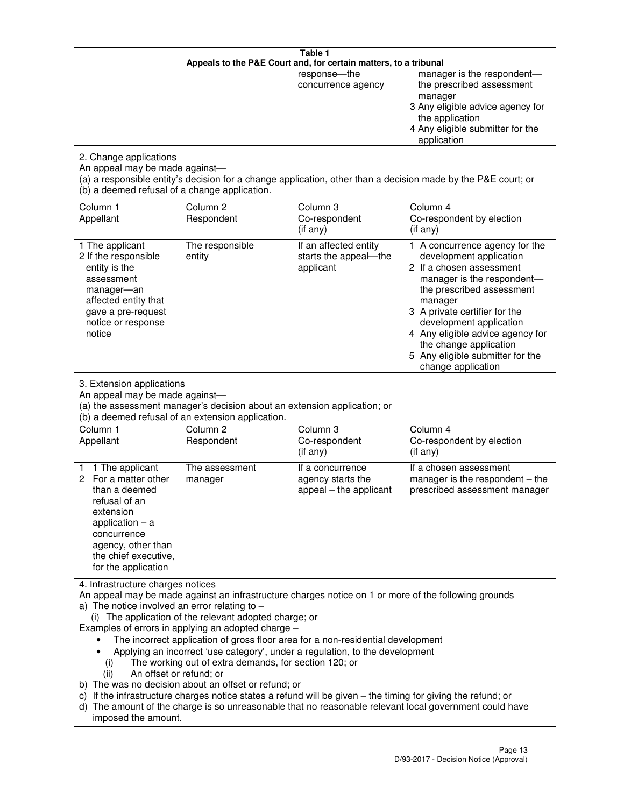|                                                                                                                                                                                                      |                                                                                                                                                                                                                               | Table 1<br>Appeals to the P&E Court and, for certain matters, to a tribunal                                                                                                                                                                                                     |                                                                                                                                                                                                                                                                                                                                                 |
|------------------------------------------------------------------------------------------------------------------------------------------------------------------------------------------------------|-------------------------------------------------------------------------------------------------------------------------------------------------------------------------------------------------------------------------------|---------------------------------------------------------------------------------------------------------------------------------------------------------------------------------------------------------------------------------------------------------------------------------|-------------------------------------------------------------------------------------------------------------------------------------------------------------------------------------------------------------------------------------------------------------------------------------------------------------------------------------------------|
|                                                                                                                                                                                                      |                                                                                                                                                                                                                               | response-the<br>concurrence agency                                                                                                                                                                                                                                              | manager is the respondent-<br>the prescribed assessment<br>manager<br>3 Any eligible advice agency for<br>the application<br>4 Any eligible submitter for the<br>application                                                                                                                                                                    |
| 2. Change applications<br>An appeal may be made against-<br>(b) a deemed refusal of a change application.                                                                                            |                                                                                                                                                                                                                               |                                                                                                                                                                                                                                                                                 | (a) a responsible entity's decision for a change application, other than a decision made by the P&E court; or                                                                                                                                                                                                                                   |
| Column 1<br>Appellant                                                                                                                                                                                | Column <sub>2</sub><br>Respondent                                                                                                                                                                                             | Column 3<br>Co-respondent<br>(if any)                                                                                                                                                                                                                                           | Column 4<br>Co-respondent by election<br>(if any)                                                                                                                                                                                                                                                                                               |
| 1 The applicant<br>2 If the responsible<br>entity is the<br>assessment<br>manager-an<br>affected entity that<br>gave a pre-request<br>notice or response<br>notice                                   | The responsible<br>entity                                                                                                                                                                                                     | If an affected entity<br>starts the appeal-the<br>applicant                                                                                                                                                                                                                     | 1 A concurrence agency for the<br>development application<br>2 If a chosen assessment<br>manager is the respondent-<br>the prescribed assessment<br>manager<br>3 A private certifier for the<br>development application<br>4 Any eligible advice agency for<br>the change application<br>5 Any eligible submitter for the<br>change application |
| 3. Extension applications<br>An appeal may be made against-<br>Column 1<br>Appellant                                                                                                                 | (a) the assessment manager's decision about an extension application; or<br>(b) a deemed refusal of an extension application.<br>Column <sub>2</sub><br>Respondent                                                            | Column 3<br>Co-respondent                                                                                                                                                                                                                                                       | Column 4<br>Co-respondent by election                                                                                                                                                                                                                                                                                                           |
| 1 The applicant<br>1<br>2 For a matter other<br>than a deemed<br>refusal of an<br>extension<br>application $-$ a<br>concurrence<br>agency, other than<br>the chief executive,<br>for the application | The assessment<br>manager                                                                                                                                                                                                     | (if any)<br>If a concurrence<br>agency starts the<br>appeal - the applicant                                                                                                                                                                                                     | (if any)<br>If a chosen assessment<br>manager is the respondent $-$ the<br>prescribed assessment manager                                                                                                                                                                                                                                        |
| 4. Infrastructure charges notices<br>a) The notice involved an error relating to $-$<br>(i)<br>An offset or refund; or<br>(ii)<br>imposed the amount.                                                | (i) The application of the relevant adopted charge; or<br>Examples of errors in applying an adopted charge -<br>The working out of extra demands, for section 120; or<br>b) The was no decision about an offset or refund; or | The incorrect application of gross floor area for a non-residential development<br>Applying an incorrect 'use category', under a regulation, to the development<br>c) If the infrastructure charges notice states a refund will be given - the timing for giving the refund; or | An appeal may be made against an infrastructure charges notice on 1 or more of the following grounds<br>d) The amount of the charge is so unreasonable that no reasonable relevant local government could have                                                                                                                                  |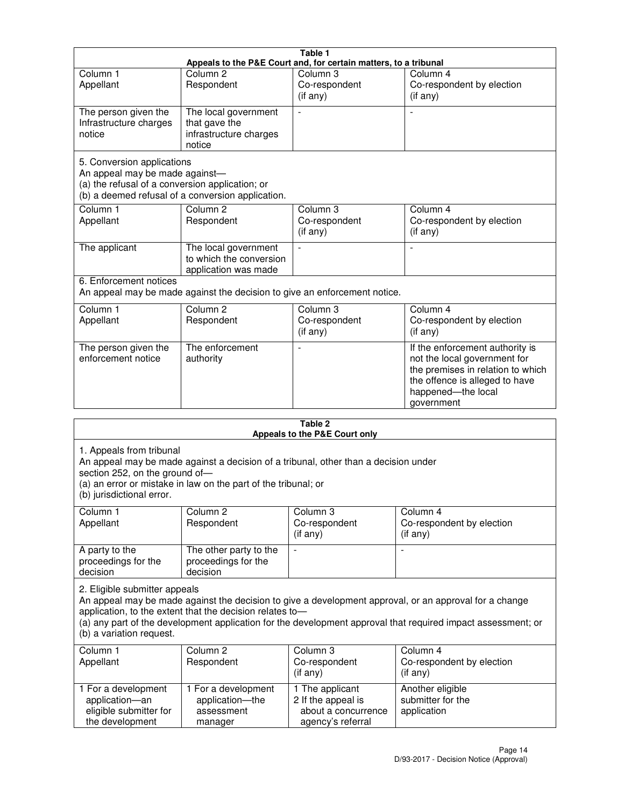|                                                                                                                 |                                                                           | Table 1                                                          |                                                                                                                                                                            |
|-----------------------------------------------------------------------------------------------------------------|---------------------------------------------------------------------------|------------------------------------------------------------------|----------------------------------------------------------------------------------------------------------------------------------------------------------------------------|
|                                                                                                                 |                                                                           | Appeals to the P&E Court and, for certain matters, to a tribunal |                                                                                                                                                                            |
| Column <sub>1</sub><br>Appellant                                                                                | Column <sub>2</sub><br>Respondent                                         | Column 3<br>Co-respondent<br>(if any)                            | Column 4<br>Co-respondent by election<br>(if any)                                                                                                                          |
| The person given the<br>Infrastructure charges<br>notice                                                        | The local government<br>that gave the<br>infrastructure charges<br>notice |                                                                  |                                                                                                                                                                            |
| 5. Conversion applications<br>An appeal may be made against-<br>(a) the refusal of a conversion application; or | (b) a deemed refusal of a conversion application.                         |                                                                  |                                                                                                                                                                            |
| Column <sub>1</sub><br>Appellant                                                                                | Column <sub>2</sub><br>Respondent                                         | Column <sub>3</sub><br>Co-respondent<br>(if any)                 | Column 4<br>Co-respondent by election<br>(if any)                                                                                                                          |
| The applicant                                                                                                   | The local government<br>to which the conversion<br>application was made   |                                                                  |                                                                                                                                                                            |
| 6. Enforcement notices                                                                                          | An appeal may be made against the decision to give an enforcement notice. |                                                                  |                                                                                                                                                                            |
| Column <sub>1</sub><br>Appellant                                                                                | Column <sub>2</sub><br>Respondent                                         | Column 3<br>Co-respondent<br>(if any)                            | Column 4<br>Co-respondent by election<br>(if any)                                                                                                                          |
| The person given the<br>enforcement notice                                                                      | The enforcement<br>authority                                              |                                                                  | If the enforcement authority is<br>not the local government for<br>the premises in relation to which<br>the offence is alleged to have<br>happened-the local<br>government |
|                                                                                                                 |                                                                           | 2 Tahle                                                          |                                                                                                                                                                            |

| Table 2<br>Appeals to the P&E Court only                                                |                                                                                                                                                       |                                                                                   |                                                                                                                                                                                                                        |
|-----------------------------------------------------------------------------------------|-------------------------------------------------------------------------------------------------------------------------------------------------------|-----------------------------------------------------------------------------------|------------------------------------------------------------------------------------------------------------------------------------------------------------------------------------------------------------------------|
| 1. Appeals from tribunal<br>section 252, on the ground of-<br>(b) jurisdictional error. | An appeal may be made against a decision of a tribunal, other than a decision under<br>(a) an error or mistake in law on the part of the tribunal; or |                                                                                   |                                                                                                                                                                                                                        |
| Column <sub>1</sub><br>Appellant                                                        | Column <sub>2</sub><br>Respondent                                                                                                                     | Column 3<br>Co-respondent<br>(if any)                                             | Column <sub>4</sub><br>Co-respondent by election<br>(if any)                                                                                                                                                           |
| A party to the<br>proceedings for the<br>decision                                       | The other party to the<br>proceedings for the<br>decision                                                                                             | $\blacksquare$                                                                    |                                                                                                                                                                                                                        |
| 2. Eligible submitter appeals<br>(b) a variation request.                               | application, to the extent that the decision relates to-                                                                                              |                                                                                   | An appeal may be made against the decision to give a development approval, or an approval for a change<br>(a) any part of the development application for the development approval that required impact assessment; or |
| Column 1<br>Appellant                                                                   | Column <sub>2</sub><br>Respondent                                                                                                                     | Column <sub>3</sub><br>Co-respondent<br>(i f any)                                 | Column 4<br>Co-respondent by election<br>(i f any)                                                                                                                                                                     |
| 1 For a development<br>application-an<br>eligible submitter for<br>the development      | 1 For a development<br>application-the<br>assessment<br>manager                                                                                       | 1 The applicant<br>2 If the appeal is<br>about a concurrence<br>agency's referral | Another eligible<br>submitter for the<br>application                                                                                                                                                                   |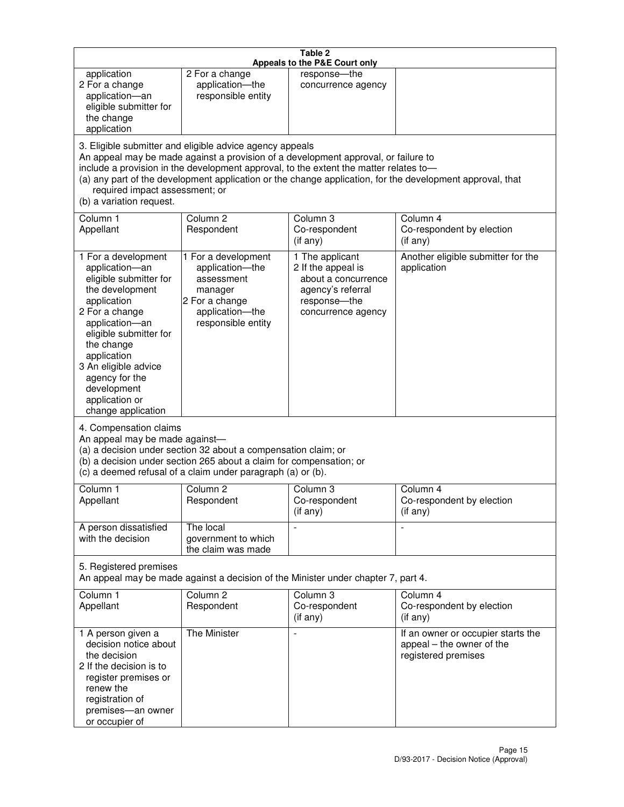|                                                                                                                                                                                                                                                                                               |                                                                                                                                                                                                                                         | Table 2<br>Appeals to the P&E Court only                                                                                |                                                                                                           |
|-----------------------------------------------------------------------------------------------------------------------------------------------------------------------------------------------------------------------------------------------------------------------------------------------|-----------------------------------------------------------------------------------------------------------------------------------------------------------------------------------------------------------------------------------------|-------------------------------------------------------------------------------------------------------------------------|-----------------------------------------------------------------------------------------------------------|
| application<br>2 For a change<br>application-an<br>eligible submitter for<br>the change<br>application                                                                                                                                                                                        | 2 For a change<br>application-the<br>responsible entity                                                                                                                                                                                 | response--the<br>concurrence agency                                                                                     |                                                                                                           |
| required impact assessment; or<br>(b) a variation request.                                                                                                                                                                                                                                    | 3. Eligible submitter and eligible advice agency appeals<br>An appeal may be made against a provision of a development approval, or failure to<br>include a provision in the development approval, to the extent the matter relates to- |                                                                                                                         | (a) any part of the development application or the change application, for the development approval, that |
| Column 1<br>Appellant                                                                                                                                                                                                                                                                         | Column <sub>2</sub><br>Respondent                                                                                                                                                                                                       | Column 3<br>Co-respondent<br>(if any)                                                                                   | Column 4<br>Co-respondent by election<br>(i f any)                                                        |
| 1 For a development<br>application-an<br>eligible submitter for<br>the development<br>application<br>2 For a change<br>application-an<br>eligible submitter for<br>the change<br>application<br>3 An eligible advice<br>agency for the<br>development<br>application or<br>change application | 1 For a development<br>application-the<br>assessment<br>manager<br>2 For a change<br>application-the<br>responsible entity                                                                                                              | 1 The applicant<br>2 If the appeal is<br>about a concurrence<br>agency's referral<br>response-the<br>concurrence agency | Another eligible submitter for the<br>application                                                         |
| 4. Compensation claims<br>An appeal may be made against-                                                                                                                                                                                                                                      | (a) a decision under section 32 about a compensation claim; or<br>(b) a decision under section 265 about a claim for compensation; or<br>(c) a deemed refusal of a claim under paragraph (a) or (b).                                    |                                                                                                                         |                                                                                                           |
| Column 1<br>Appellant                                                                                                                                                                                                                                                                         | Column 2<br>Respondent                                                                                                                                                                                                                  | Column 3<br>Co-respondent<br>(if any)                                                                                   | Column 4<br>Co-respondent by election<br>(i f any)                                                        |
| A person dissatisfied<br>with the decision                                                                                                                                                                                                                                                    | The local<br>government to which<br>the claim was made                                                                                                                                                                                  |                                                                                                                         | $\blacksquare$                                                                                            |
| 5. Registered premises                                                                                                                                                                                                                                                                        | An appeal may be made against a decision of the Minister under chapter 7, part 4.                                                                                                                                                       |                                                                                                                         |                                                                                                           |
| Column <sub>1</sub><br>Appellant                                                                                                                                                                                                                                                              | Column <sub>2</sub><br>Respondent                                                                                                                                                                                                       | Column 3<br>Co-respondent<br>(if any)                                                                                   | Column 4<br>Co-respondent by election<br>(if any)                                                         |
| 1 A person given a<br>decision notice about<br>the decision<br>2 If the decision is to<br>register premises or<br>renew the<br>registration of<br>premises-an owner<br>or occupier of                                                                                                         | The Minister                                                                                                                                                                                                                            | $\overline{\phantom{a}}$                                                                                                | If an owner or occupier starts the<br>appeal – the owner of the<br>registered premises                    |